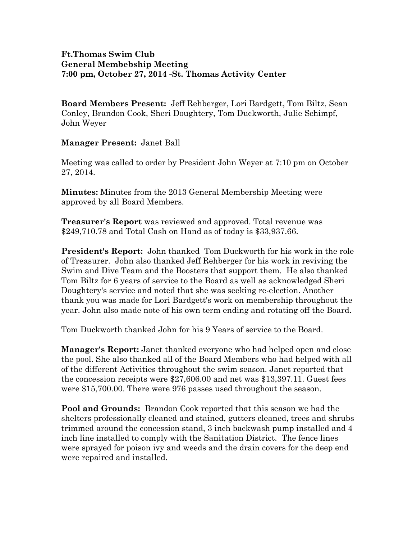## **Ft.Thomas Swim Club General Membebship Meeting 7:00 pm, October 27, 2014 -St. Thomas Activity Center**

**Board Members Present:** Jeff Rehberger, Lori Bardgett, Tom Biltz, Sean Conley, Brandon Cook, Sheri Doughtery, Tom Duckworth, Julie Schimpf, John Weyer

**Manager Present:** Janet Ball

Meeting was called to order by President John Weyer at 7:10 pm on October 27, 2014.

**Minutes:** Minutes from the 2013 General Membership Meeting were approved by all Board Members.

**Treasurer's Report** was reviewed and approved. Total revenue was \$249,710.78 and Total Cash on Hand as of today is \$33,937.66.

**President's Report:** John thanked Tom Duckworth for his work in the role of Treasurer. John also thanked Jeff Rehberger for his work in reviving the Swim and Dive Team and the Boosters that support them. He also thanked Tom Biltz for 6 years of service to the Board as well as acknowledged Sheri Doughtery's service and noted that she was seeking re-election. Another thank you was made for Lori Bardgett's work on membership throughout the year. John also made note of his own term ending and rotating off the Board.

Tom Duckworth thanked John for his 9 Years of service to the Board.

**Manager's Report:** Janet thanked everyone who had helped open and close the pool. She also thanked all of the Board Members who had helped with all of the different Activities throughout the swim season. Janet reported that the concession receipts were \$27,606.00 and net was \$13,397.11. Guest fees were \$15,700.00. There were 976 passes used throughout the season.

**Pool and Grounds:** Brandon Cook reported that this season we had the shelters professionally cleaned and stained, gutters cleaned, trees and shrubs trimmed around the concession stand, 3 inch backwash pump installed and 4 inch line installed to comply with the Sanitation District. The fence lines were sprayed for poison ivy and weeds and the drain covers for the deep end were repaired and installed.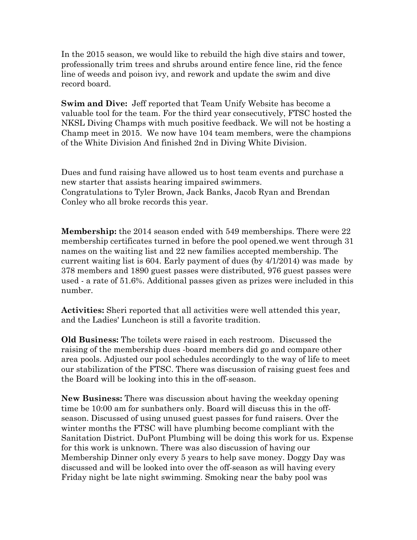In the 2015 season, we would like to rebuild the high dive stairs and tower, professionally trim trees and shrubs around entire fence line, rid the fence line of weeds and poison ivy, and rework and update the swim and dive record board.

**Swim and Dive:** Jeff reported that Team Unify Website has become a valuable tool for the team. For the third year consecutively, FTSC hosted the NKSL Diving Champs with much positive feedback. We will not be hosting a Champ meet in 2015. We now have 104 team members, were the champions of the White Division And finished 2nd in Diving White Division.

Dues and fund raising have allowed us to host team events and purchase a new starter that assists hearing impaired swimmers. Congratulations to Tyler Brown, Jack Banks, Jacob Ryan and Brendan Conley who all broke records this year.

**Membership:** the 2014 season ended with 549 memberships. There were 22 membership certificates turned in before the pool opened.we went through 31 names on the waiting list and 22 new families accepted membership. The current waiting list is 604. Early payment of dues (by 4/1/2014) was made by 378 members and 1890 guest passes were distributed, 976 guest passes were used - a rate of 51.6%. Additional passes given as prizes were included in this number.

**Activities:** Sheri reported that all activities were well attended this year, and the Ladies' Luncheon is still a favorite tradition.

**Old Business:** The toilets were raised in each restroom. Discussed the raising of the membership dues -board members did go and compare other area pools. Adjusted our pool schedules accordingly to the way of life to meet our stabilization of the FTSC. There was discussion of raising guest fees and the Board will be looking into this in the off-season.

**New Business:** There was discussion about having the weekday opening time be 10:00 am for sunbathers only. Board will discuss this in the offseason. Discussed of using unused guest passes for fund raisers. Over the winter months the FTSC will have plumbing become compliant with the Sanitation District. DuPont Plumbing will be doing this work for us. Expense for this work is unknown. There was also discussion of having our Membership Dinner only every 5 years to help save money. Doggy Day was discussed and will be looked into over the off-season as will having every Friday night be late night swimming. Smoking near the baby pool was